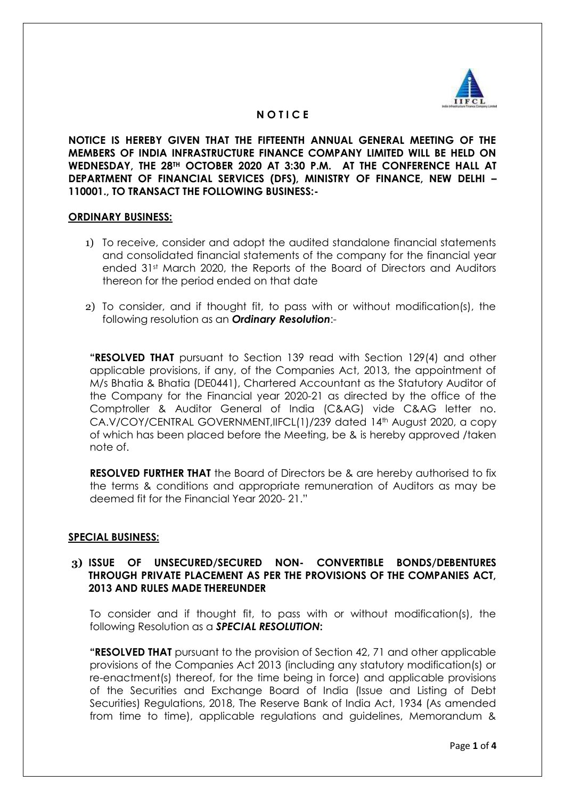

# **N O T I C E**

**NOTICE IS HEREBY GIVEN THAT THE FIFTEENTH ANNUAL GENERAL MEETING OF THE MEMBERS OF INDIA INFRASTRUCTURE FINANCE COMPANY LIMITED WILL BE HELD ON WEDNESDAY, THE 28TH OCTOBER 2020 AT 3:30 P.M. AT THE CONFERENCE HALL AT DEPARTMENT OF FINANCIAL SERVICES (DFS), MINISTRY OF FINANCE, NEW DELHI – 110001., TO TRANSACT THE FOLLOWING BUSINESS:-**

### **ORDINARY BUSINESS:**

- 1) To receive, consider and adopt the audited standalone financial statements and consolidated financial statements of the company for the financial year ended 31st March 2020, the Reports of the Board of Directors and Auditors thereon for the period ended on that date
- 2) To consider, and if thought fit, to pass with or without modification(s), the following resolution as an *Ordinary Resolution*:-

**"RESOLVED THAT** pursuant to Section 139 read with Section 129(4) and other applicable provisions, if any, of the Companies Act, 2013, the appointment of M/s Bhatia & Bhatia (DE0441), Chartered Accountant as the Statutory Auditor of the Company for the Financial year 2020-21 as directed by the office of the Comptroller & Auditor General of India (C&AG) vide C&AG letter no. CA.V/COY/CENTRAL GOVERNMENT,IIFCL(1)/239 dated 14th August 2020, a copy of which has been placed before the Meeting, be & is hereby approved /taken note of.

**RESOLVED FURTHER THAT** the Board of Directors be & are hereby authorised to fix the terms & conditions and appropriate remuneration of Auditors as may be deemed fit for the Financial Year 2020- 21."

## **SPECIAL BUSINESS:**

## **3) ISSUE OF UNSECURED/SECURED NON- CONVERTIBLE BONDS/DEBENTURES THROUGH PRIVATE PLACEMENT AS PER THE PROVISIONS OF THE COMPANIES ACT, 2013 AND RULES MADE THEREUNDER**

To consider and if thought fit, to pass with or without modification(s), the following Resolution as a *SPECIAL RESOLUTION***:**

**"RESOLVED THAT** pursuant to the provision of Section 42, 71 and other applicable provisions of the Companies Act 2013 (including any statutory modification(s) or re-enactment(s) thereof, for the time being in force) and applicable provisions of the Securities and Exchange Board of India (Issue and Listing of Debt Securities) Regulations, 2018, The Reserve Bank of India Act, 1934 (As amended from time to time), applicable regulations and guidelines, Memorandum &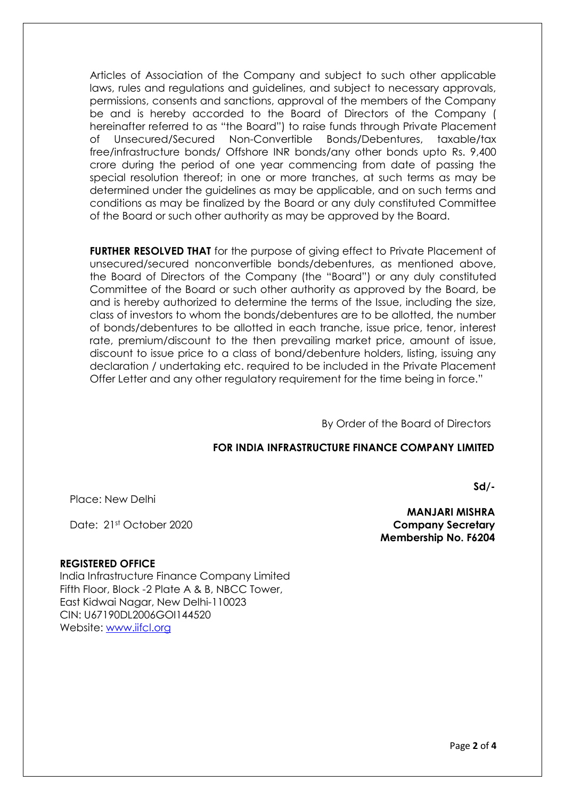Articles of Association of the Company and subject to such other applicable laws, rules and regulations and guidelines, and subject to necessary approvals, permissions, consents and sanctions, approval of the members of the Company be and is hereby accorded to the Board of Directors of the Company ( hereinafter referred to as "the Board") to raise funds through Private Placement of Unsecured/Secured Non-Convertible Bonds/Debentures, taxable/tax free/infrastructure bonds/ Offshore INR bonds/any other bonds upto Rs. 9,400 crore during the period of one year commencing from date of passing the special resolution thereof; in one or more tranches, at such terms as may be determined under the guidelines as may be applicable, and on such terms and conditions as may be finalized by the Board or any duly constituted Committee of the Board or such other authority as may be approved by the Board.

**FURTHER RESOLVED THAT** for the purpose of giving effect to Private Placement of unsecured/secured nonconvertible bonds/debentures, as mentioned above, the Board of Directors of the Company (the "Board") or any duly constituted Committee of the Board or such other authority as approved by the Board, be and is hereby authorized to determine the terms of the Issue, including the size, class of investors to whom the bonds/debentures are to be allotted, the number of bonds/debentures to be allotted in each tranche, issue price, tenor, interest rate, premium/discount to the then prevailing market price, amount of issue, discount to issue price to a class of bond/debenture holders, listing, issuing any declaration / undertaking etc. required to be included in the Private Placement Offer Letter and any other regulatory requirement for the time being in force."

By Order of the Board of Directors

## **FOR INDIA INFRASTRUCTURE FINANCE COMPANY LIMITED**

Place: New Delhi

Date: 21st October 2020

 **MANJARI MISHRA Company Secretary Membership No. F6204** 

**Sd/-**

## **REGISTERED OFFICE**

India Infrastructure Finance Company Limited Fifth Floor, Block -2 Plate A & B, NBCC Tower, East Kidwai Nagar, New Delhi-110023 CIN: U67190DL2006GOI144520 Website: [www.iifcl.org](http://www.iifcl.org/)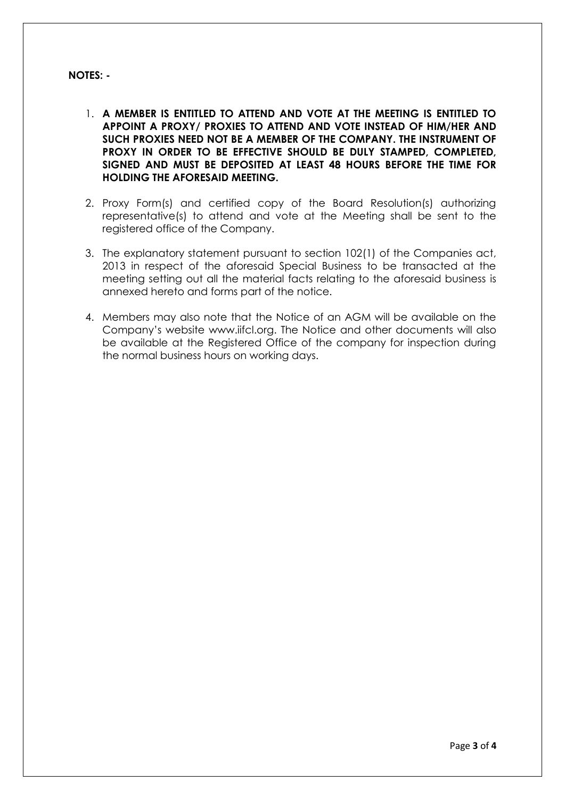# **NOTES: -**

- 1. **A MEMBER IS ENTITLED TO ATTEND AND VOTE AT THE MEETING IS ENTITLED TO APPOINT A PROXY/ PROXIES TO ATTEND AND VOTE INSTEAD OF HIM/HER AND SUCH PROXIES NEED NOT BE A MEMBER OF THE COMPANY. THE INSTRUMENT OF PROXY IN ORDER TO BE EFFECTIVE SHOULD BE DULY STAMPED, COMPLETED, SIGNED AND MUST BE DEPOSITED AT LEAST 48 HOURS BEFORE THE TIME FOR HOLDING THE AFORESAID MEETING.**
- 2. Proxy Form(s) and certified copy of the Board Resolution(s) authorizing representative(s) to attend and vote at the Meeting shall be sent to the registered office of the Company.
- 3. The explanatory statement pursuant to section 102(1) of the Companies act, 2013 in respect of the aforesaid Special Business to be transacted at the meeting setting out all the material facts relating to the aforesaid business is annexed hereto and forms part of the notice.
- 4. Members may also note that the Notice of an AGM will be available on the Company's website www.iifcl.org. The Notice and other documents will also be available at the Registered Office of the company for inspection during the normal business hours on working days.